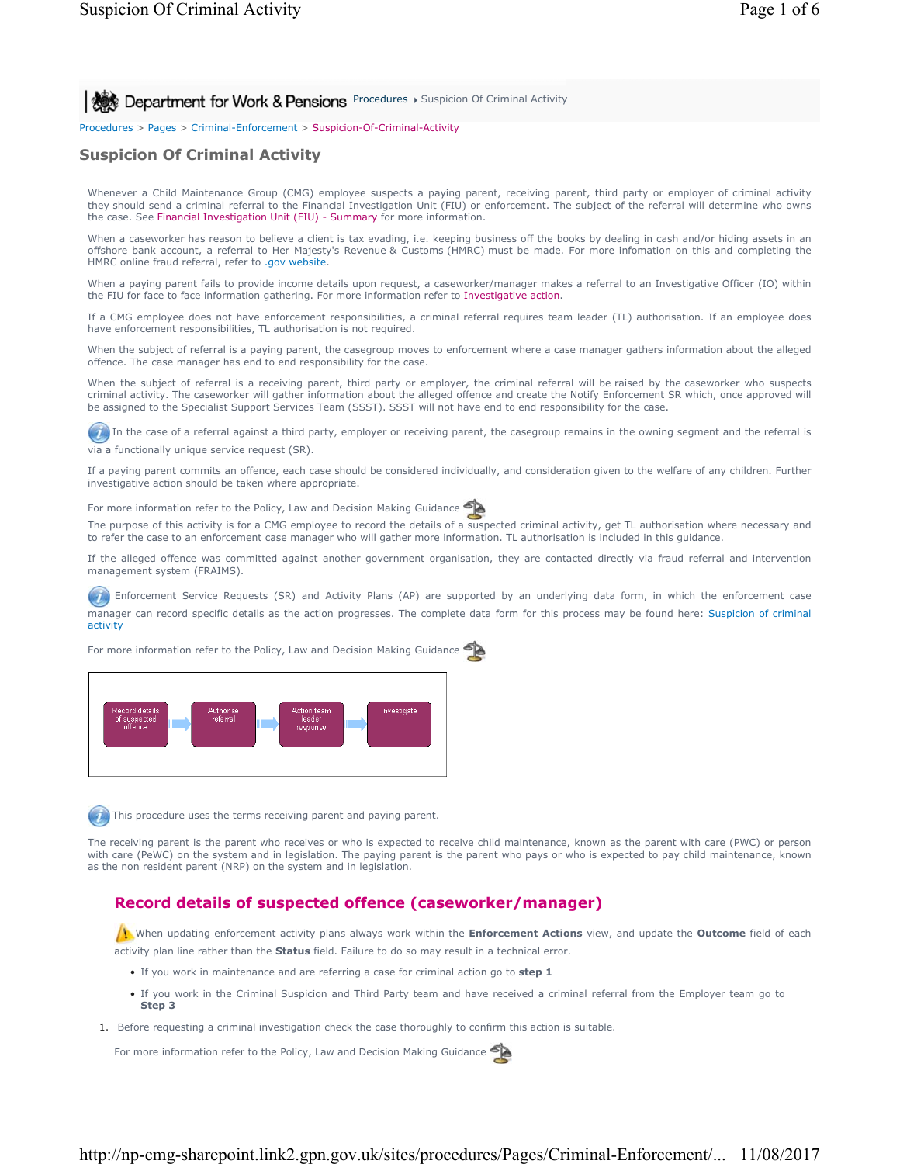**Procedures > Suspicion Of Criminal Activity** 8 **Department for Work & Pensions** Procedures > Suspicion Of Criminal Activity

Procedures > Pages > Criminal-Enforcement > Suspicion-Of-Criminal-Activity

# **Suspicion Of Criminal Activity**

Whenever a Child Maintenance Group (CMG) employee suspects a paying parent, receiving parent, third party or employer of criminal activity they should send a criminal referral to the Financial Investigation Unit (FIU) or enforcement. The subject of the referral will determine who owns the case. See Financial Investigation Unit (FIU) - Summary for more information.

When a caseworker has reason to believe a client is tax evading, i.e. keeping business off the books by dealing in cash and/or hiding assets in an offshore bank account, a referral to Her Majesty's Revenue & Customs (HMRC) must be made. For more infomation on this and completing the HMRC online fraud referral, refer to .gov website.

When a paying parent fails to provide income details upon request, a caseworker/manager makes a referral to an Investigative Officer (IO) within the FIU for face to face information gathering. For more information refer to Investigative action.

If a CMG employee does not have enforcement responsibilities, a criminal referral requires team leader (TL) authorisation. If an employee does have enforcement responsibilities, TL authorisation is not required.

When the subject of referral is a paying parent, the casegroup moves to enforcement where a case manager gathers information about the alleged offence. The case manager has end to end responsibility for the case.

When the subject of referral is a receiving parent, third party or employer, the criminal referral will be raised by the caseworker who suspects criminal activity. The caseworker will gather information about the alleged offence and create the Notify Enforcement SR which, once approved will be assigned to the Specialist Support Services Team (SSST). SSST will not have end to end responsibility for the case.

In the case of a referral against a third party, employer or receiving parent, the casegroup remains in the owning segment and the referral is via a functionally unique service request (SR).

If a paying parent commits an offence, each case should be considered individually, and consideration given to the welfare of any children. Further investigative action should be taken where appropriate.

For more information refer to the Policy, Law and Decision Making Guidance

The purpose of this activity is for a CMG employee to record the details of a suspected criminal activity, get TL authorisation where necessary and to refer the case to an enforcement case manager who will gather more information. TL authorisation is included in this guidance.

If the alleged offence was committed against another government organisation, they are contacted directly via fraud referral and intervention management system (FRAIMS).

Enforcement Service Requests (SR) and Activity Plans (AP) are supported by an underlying data form, in which the enforcement case manager can record specific details as the action progresses. The complete data form for this process may be found here: Suspicion of criminal activity

For more information refer to the Policy, Law and Decision Making Guidance



This procedure uses the terms receiving parent and paying parent.

The receiving parent is the parent who receives or who is expected to receive child maintenance, known as the parent with care (PWC) or person with care (PeWC) on the system and in legislation. The paying parent is the parent who pays or who is expected to pay child maintenance, known as the non resident parent (NRP) on the system and in legislation.

## **Record details of suspected offence (caseworker/manager)**

When updating enforcement activity plans always work within the **Enforcement Actions** view, and update the **Outcome** field of each activity plan line rather than the **Status** field. Failure to do so may result in a technical error.

- If you work in maintenance and are referring a case for criminal action go to **step 1**
- If you work in the Criminal Suspicion and Third Party team and have received a criminal referral from the Employer team go to **Step 3**
- 1. Before requesting a criminal investigation check the case thoroughly to confirm this action is suitable.

For more information refer to the Policy, Law and Decision Making Guidance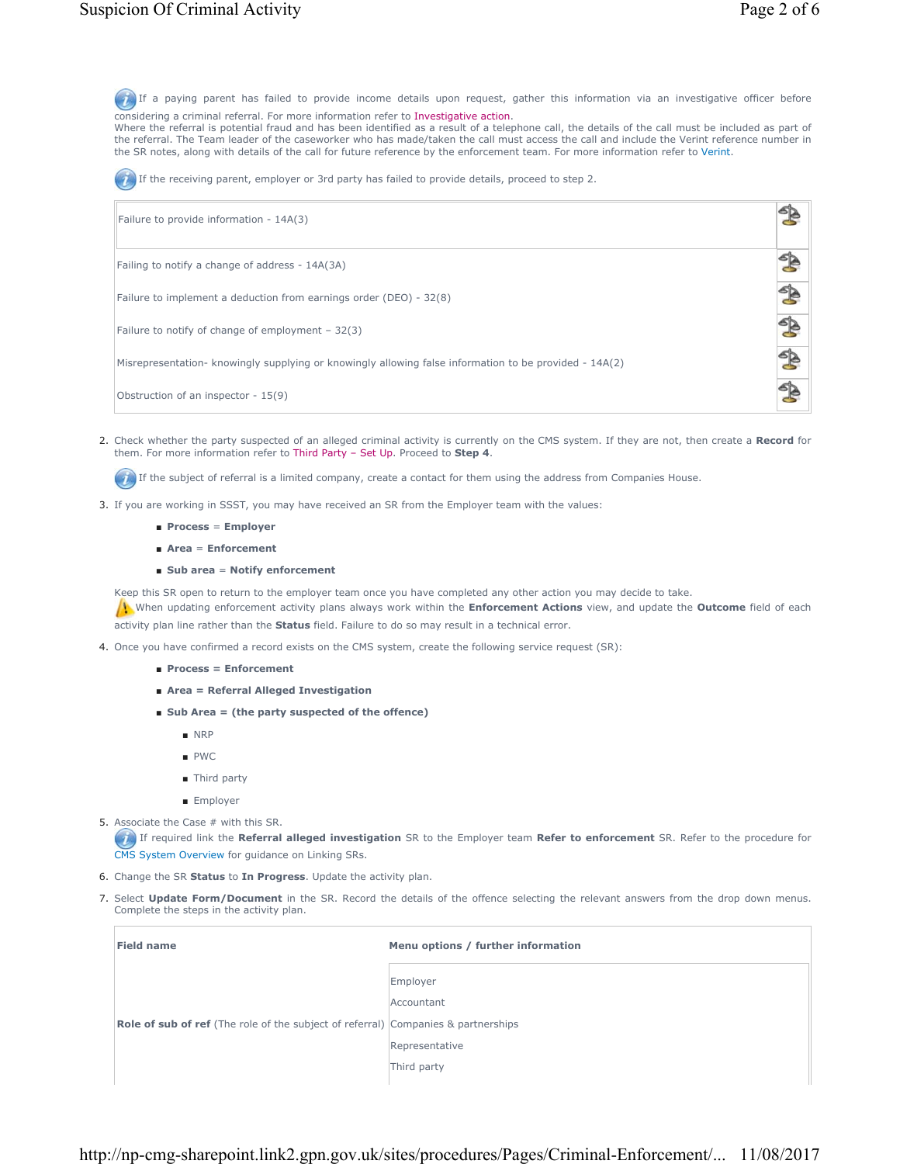$\mathbb{S}$ 

If a paying parent has failed to provide income details upon request, gather this information via an investigative officer before considering a criminal referral. For more information refer to Investigative action.

Where the referral is potential fraud and has been identified as a result of a telephone call, the details of the call must be included as part of the referral. The Team leader of the caseworker who has made/taken the call must access the call and include the Verint reference number in the SR notes, along with details of the call for future reference by the enforcement team. For more information refer to Verint.

If the receiving parent, employer or 3rd party has failed to provide details, proceed to step 2.

Failure to provide information - 14A(3)

Failing to notify a change of address - 14A(3A)

Failure to implement a deduction from earnings order (DEO) - 32(8)

Failure to notify of change of employment – 32(3)

Misrepresentation- knowingly supplying or knowingly allowing false information to be provided - 14A(2)

Obstruction of an inspector - 15(9)

Check whether the party suspected of an alleged criminal activity is currently on the CMS system. If they are not, then create a **Record** for 2. them. For more information refer to Third Party – Set Up. Proceed to **Step 4**.

If the subject of referral is a limited company, create a contact for them using the address from Companies House.

- 3. If you are working in SSST, you may have received an SR from the Employer team with the values:
	- **Process** = **Employer**
	- **Area** = **Enforcement**
	- **Sub area** = **Notify enforcement**

Keep this SR open to return to the employer team once you have completed any other action you may decide to take.

When updating enforcement activity plans always work within the **Enforcement Actions** view, and update the **Outcome** field of each activity plan line rather than the **Status** field. Failure to do so may result in a technical error.

- 4. Once you have confirmed a record exists on the CMS system, create the following service request (SR):
	- **Process = Enforcement**
	- **Area = Referral Alleged Investigation**
	- **Sub Area = (the party suspected of the offence)**
		- NRP
		- PWC
		- Third party
		- Employer
- 5. Associate the Case # with this SR.

If required link the **Referral alleged investigation** SR to the Employer team **Refer to enforcement** SR. Refer to the procedure for CMS System Overview for guidance on Linking SRs.

- 6. Change the SR **Status** to **In Progress**. Update the activity plan.
- 7. Select Update Form/Document in the SR. Record the details of the offence selecting the relevant answers from the drop down menus. Complete the steps in the activity plan.

| <b>Field name</b>                                                                        | Menu options / further information |
|------------------------------------------------------------------------------------------|------------------------------------|
|                                                                                          | Employer<br>Accountant             |
|                                                                                          |                                    |
|                                                                                          | Representative                     |
|                                                                                          | Third party                        |
| <b>Role of sub of ref</b> (The role of the subject of referral) Companies & partnerships |                                    |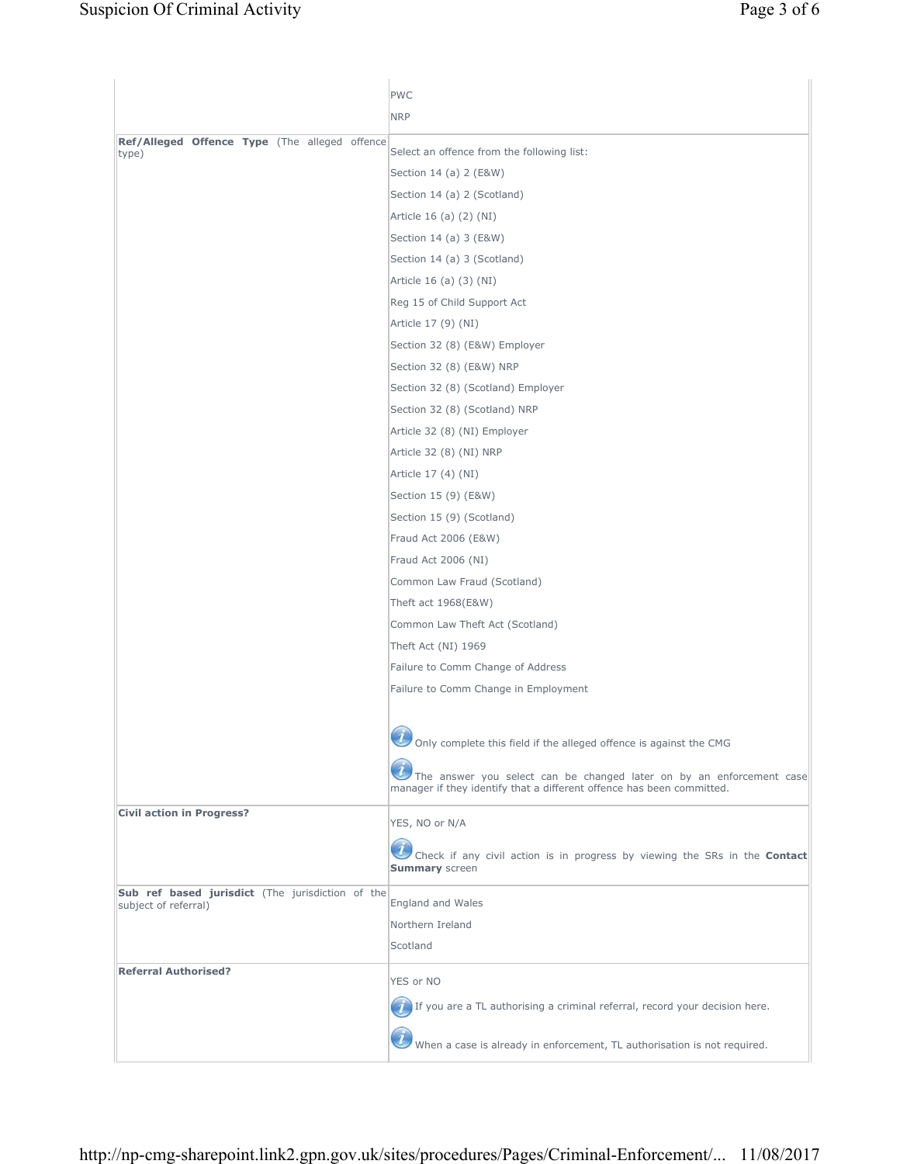|                                                        | <b>PWC</b>                                                                                                                                    |
|--------------------------------------------------------|-----------------------------------------------------------------------------------------------------------------------------------------------|
|                                                        | <b>NRP</b>                                                                                                                                    |
|                                                        |                                                                                                                                               |
| Ref/Alleged Offence Type (The alleged offence<br>type) | Select an offence from the following list:                                                                                                    |
|                                                        | Section 14 (a) 2 (E&W)                                                                                                                        |
|                                                        | Section 14 (a) 2 (Scotland)                                                                                                                   |
|                                                        | Article 16 (a) (2) (NI)                                                                                                                       |
|                                                        | Section 14 (a) 3 (E&W)                                                                                                                        |
|                                                        | Section 14 (a) 3 (Scotland)                                                                                                                   |
|                                                        | Article 16 (a) (3) (NI)                                                                                                                       |
|                                                        | Reg 15 of Child Support Act                                                                                                                   |
|                                                        | Article 17 (9) (NI)                                                                                                                           |
|                                                        | Section 32 (8) (E&W) Employer                                                                                                                 |
|                                                        | Section 32 (8) (E&W) NRP                                                                                                                      |
|                                                        | Section 32 (8) (Scotland) Employer                                                                                                            |
|                                                        | Section 32 (8) (Scotland) NRP                                                                                                                 |
|                                                        | Article 32 (8) (NI) Employer                                                                                                                  |
|                                                        | Article 32 (8) (NI) NRP                                                                                                                       |
|                                                        | Article 17 (4) (NI)                                                                                                                           |
|                                                        | Section 15 (9) (E&W)                                                                                                                          |
|                                                        | Section 15 (9) (Scotland)                                                                                                                     |
|                                                        | Fraud Act 2006 (E&W)                                                                                                                          |
|                                                        | Fraud Act 2006 (NI)                                                                                                                           |
|                                                        | Common Law Fraud (Scotland)                                                                                                                   |
|                                                        | Theft act 1968(E&W)                                                                                                                           |
|                                                        | Common Law Theft Act (Scotland)                                                                                                               |
|                                                        | Theft Act (NI) 1969                                                                                                                           |
|                                                        | Failure to Comm Change of Address                                                                                                             |
|                                                        | Failure to Comm Change in Employment                                                                                                          |
|                                                        |                                                                                                                                               |
|                                                        | Only complete this field if the alleged offence is against the CMG                                                                            |
|                                                        |                                                                                                                                               |
|                                                        | The answer you select can be changed later on by an enforcement case<br>manager if they identify that a different offence has been committed. |
|                                                        |                                                                                                                                               |
| <b>Civil action in Progress?</b>                       | YES, NO or N/A                                                                                                                                |
|                                                        |                                                                                                                                               |
|                                                        | Check if any civil action is in progress by viewing the SRs in the Contact<br><b>Summary</b> screen                                           |
| Sub ref based jurisdict (The jurisdiction of the       |                                                                                                                                               |
| subject of referral)                                   | England and Wales                                                                                                                             |
|                                                        | Northern Ireland                                                                                                                              |
|                                                        | Scotland                                                                                                                                      |
| <b>Referral Authorised?</b>                            | YES or NO                                                                                                                                     |
|                                                        | If you are a TL authorising a criminal referral, record your decision here.                                                                   |
|                                                        | When a case is already in enforcement, TL authorisation is not required.                                                                      |
|                                                        |                                                                                                                                               |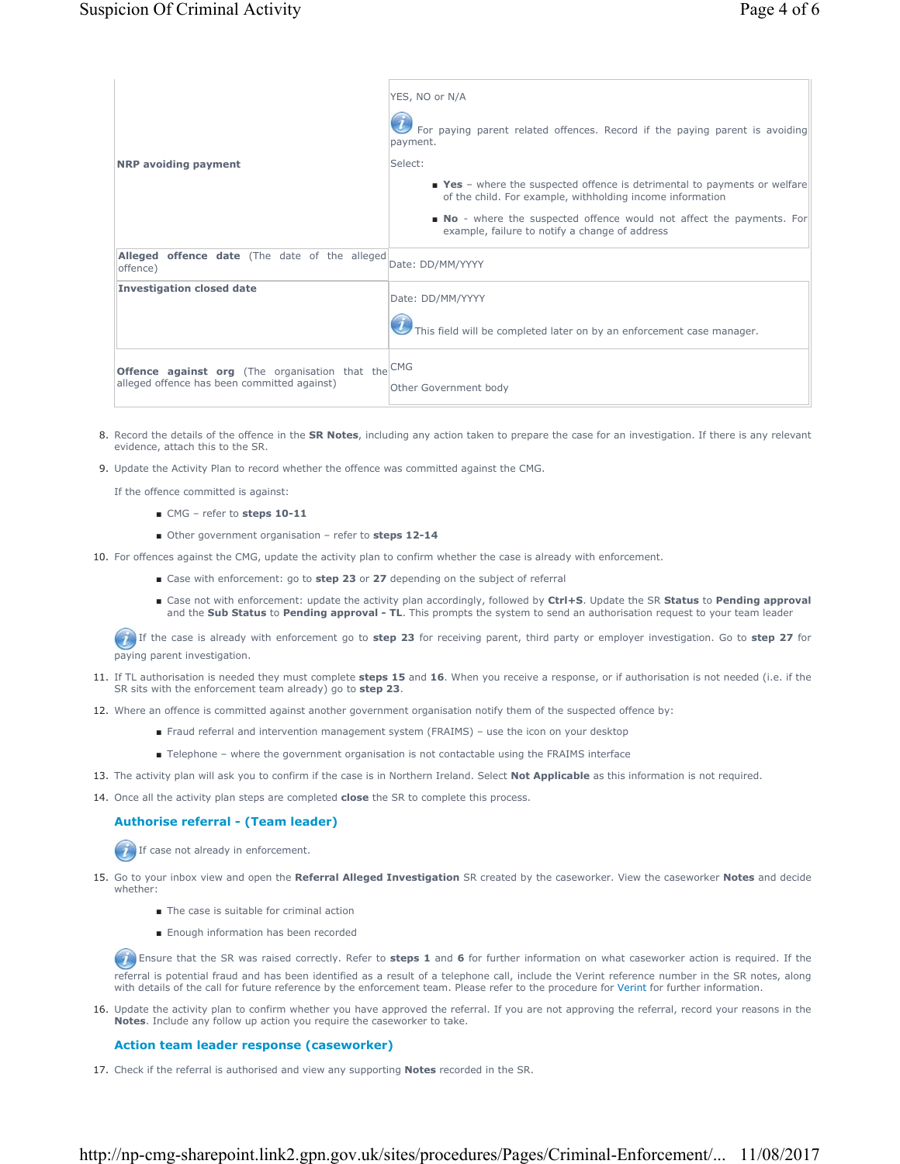|                                                           | YES, NO or N/A                                                                                                                         |
|-----------------------------------------------------------|----------------------------------------------------------------------------------------------------------------------------------------|
|                                                           | For paying parent related offences. Record if the paying parent is avoiding<br>payment.                                                |
| <b>NRP</b> avoiding payment                               | Select:                                                                                                                                |
|                                                           | ■ Yes - where the suspected offence is detrimental to payments or welfare<br>of the child. For example, withholding income information |
|                                                           | • No - where the suspected offence would not affect the payments. For<br>example, failure to notify a change of address                |
| Alleged offence date (The date of the alleged<br>offence) | Date: DD/MM/YYYY                                                                                                                       |
| <b>Investigation closed date</b>                          | Date: DD/MM/YYYY                                                                                                                       |
|                                                           | This field will be completed later on by an enforcement case manager.                                                                  |
| <b>Offence against org</b> (The organisation that the CMG |                                                                                                                                        |
| alleged offence has been committed against)               | Other Government body                                                                                                                  |

- 8. Record the details of the offence in the **SR Notes**, including any action taken to prepare the case for an investigation. If there is any relevant evidence, attach this to the SR.
- 9. Update the Activity Plan to record whether the offence was committed against the CMG.

If the offence committed is against:

- CMG refer to steps 10-11
- Other government organisation refer to **steps 12-14**
- 10. For offences against the CMG, update the activity plan to confirm whether the case is already with enforcement.
	- Case with enforcement: go to **step 23** or 27 depending on the subject of referral
	- Case not with enforcement: update the activity plan accordingly, followed by Ctrl+S. Update the SR Status to Pending approval and the **Sub Status** to **Pending approval - TL**. This prompts the system to send an authorisation request to your team leader

 If the case is already with enforcement go to **step 23** for receiving parent, third party or employer investigation. Go to **step 27** for paying parent investigation.

- 11. If TL authorisation is needed they must complete steps 15 and 16. When you receive a response, or if authorisation is not needed (i.e. if the SR sits with the enforcement team already) go to **step 23**.
- 12. Where an offence is committed against another government organisation notify them of the suspected offence by:
	- Fraud referral and intervention management system (FRAIMS) use the icon on your desktop
	- Telephone where the government organisation is not contactable using the FRAIMS interface
- 13. The activity plan will ask you to confirm if the case is in Northern Ireland. Select **Not Applicable** as this information is not required.
- 14. Once all the activity plan steps are completed **close** the SR to complete this process.

### **Authorise referral - (Team leader)**

If case not already in enforcement.

- 15. Go to your inbox view and open the Referral Alleged Investigation SR created by the caseworker. View the caseworker Notes and decide whether:
	- The case is suitable for criminal action
	- Enough information has been recorded

 Ensure that the SR was raised correctly. Refer to **steps 1** and **6** for further information on what caseworker action is required. If the referral is potential fraud and has been identified as a result of a telephone call, include the Verint reference number in the SR notes, along with details of the call for future reference by the enforcement team. Please refer to the procedure for Verint for further information.

16. Update the activity plan to confirm whether you have approved the referral. If you are not approving the referral, record your reasons in the **Notes**. Include any follow up action you require the caseworker to take.

### **Action team leader response (caseworker)**

17. Check if the referral is authorised and view any supporting **Notes** recorded in the SR.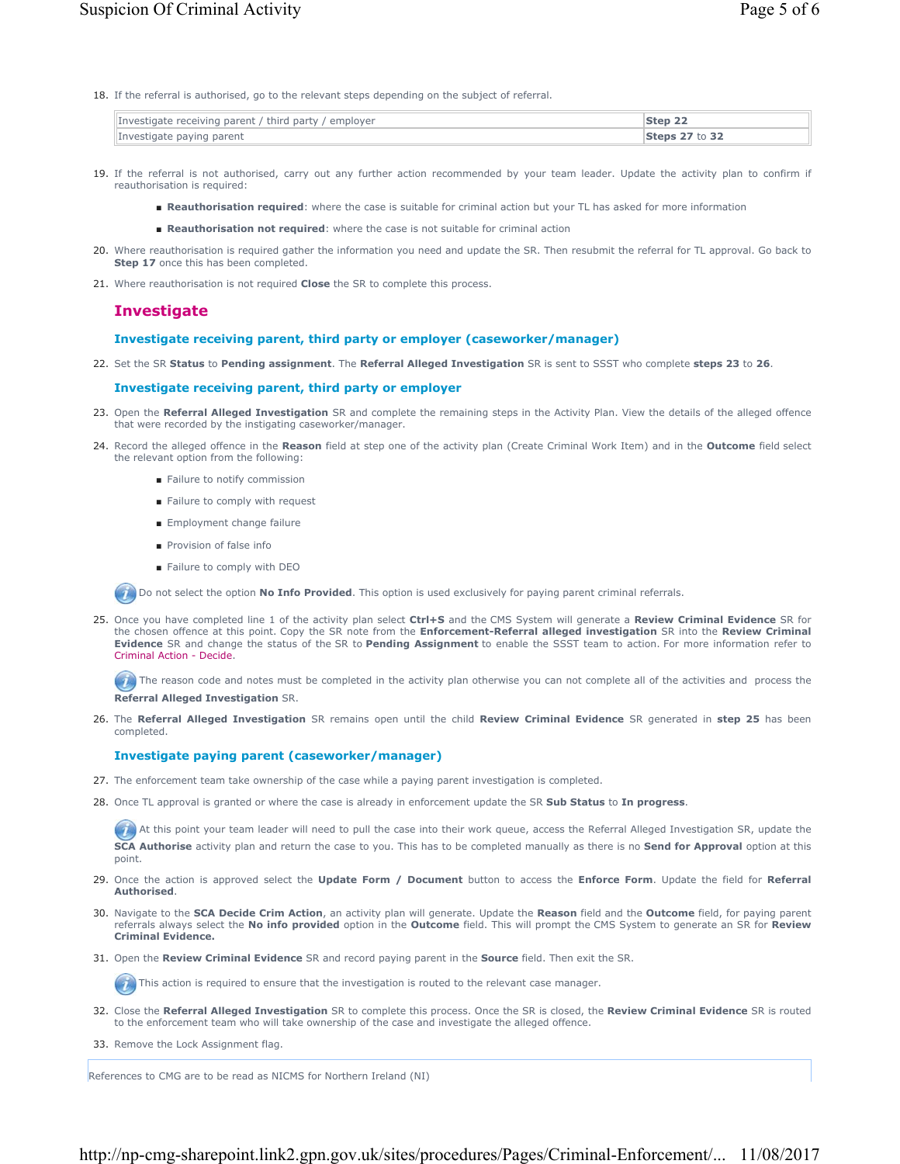18. If the referral is authorised, go to the relevant steps depending on the subject of referral.

| Investigate receiving parent / third party / employer | Step 22        |
|-------------------------------------------------------|----------------|
| Investigate paying parent                             | Steps 27 to 32 |

- 19. If the referral is not authorised, carry out any further action recommended by your team leader. Update the activity plan to confirm if reauthorisation is required:
	- **Reauthorisation required:** where the case is suitable for criminal action but your TL has asked for more information
	- **Reauthorisation not required**: where the case is not suitable for criminal action
- 20. Where reauthorisation is required gather the information you need and update the SR. Then resubmit the referral for TL approval. Go back to **Step 17** once this has been completed.
- 21. Where reauthorisation is not required **Close** the SR to complete this process.

### **Investigate**

### **Investigate receiving parent, third party or employer (caseworker/manager)**

22. Set the SR **Status** to **Pending assignment**. The **Referral Alleged Investigation** SR is sent to SSST who complete **steps 23** to **26**.

### **Investigate receiving parent, third party or employer**

- 23. Open the Referral Alleged Investigation SR and complete the remaining steps in the Activity Plan. View the details of the alleged offence that were recorded by the instigating caseworker/manager.
- 24. Record the alleged offence in the Reason field at step one of the activity plan (Create Criminal Work Item) and in the Outcome field select the relevant option from the following:
	- Failure to notify commission
	- Failure to comply with request
	- Employment change failure
	- Provision of false info
	- Failure to comply with DEO

Do not select the option **No Info Provided**. This option is used exclusively for paying parent criminal referrals.

25. Once you have completed line 1 of the activity plan select Ctrl+S and the CMS System will generate a Review Criminal Evidence SR for the chosen offence at this point. Copy the SR note from the **Enforcement-Referral alleged investigation** SR into the **Review Criminal Evidence** SR and change the status of the SR to **Pending Assignment** to enable the SSST team to action. For more information refer to Criminal Action - Decide.

 $\bullet$  The reason code and notes must be completed in the activity plan otherwise you can not complete all of the activities and process the **Referral Alleged Investigation** SR.

26. The Referral Alleged Investigation SR remains open until the child Review Criminal Evidence SR generated in step 25 has been completed.

### **Investigate paying parent (caseworker/manager)**

- 27. The enforcement team take ownership of the case while a paying parent investigation is completed.
- 28. Once TL approval is granted or where the case is already in enforcement update the SR **Sub Status** to In progress.

At this point your team leader will need to pull the case into their work queue, access the Referral Alleged Investigation SR, update the **SCA Authorise** activity plan and return the case to you. This has to be completed manually as there is no **Send for Approval** option at this point.

- 29. Once the action is approved select the Update Form / Document button to access the Enforce Form. Update the field for Referral **Authorised**.
- 30. Navigate to the SCA Decide Crim Action, an activity plan will generate. Update the Reason field and the Outcome field, for paying parent referrals always select the **No info provided** option in the **Outcome** field. This will prompt the CMS System to generate an SR for **Review Criminal Evidence.**
- 31. Open the **Review Criminal Evidence** SR and record paying parent in the **Source** field. Then exit the SR.

 $(\cdot)$  This action is required to ensure that the investigation is routed to the relevant case manager.

32. Close the Referral Alleged Investigation SR to complete this process. Once the SR is closed, the Review Criminal Evidence SR is routed to the enforcement team who will take ownership of the case and investigate the alleged offence.

33. Remove the Lock Assignment flag.

References to CMG are to be read as NICMS for Northern Ireland (NI)